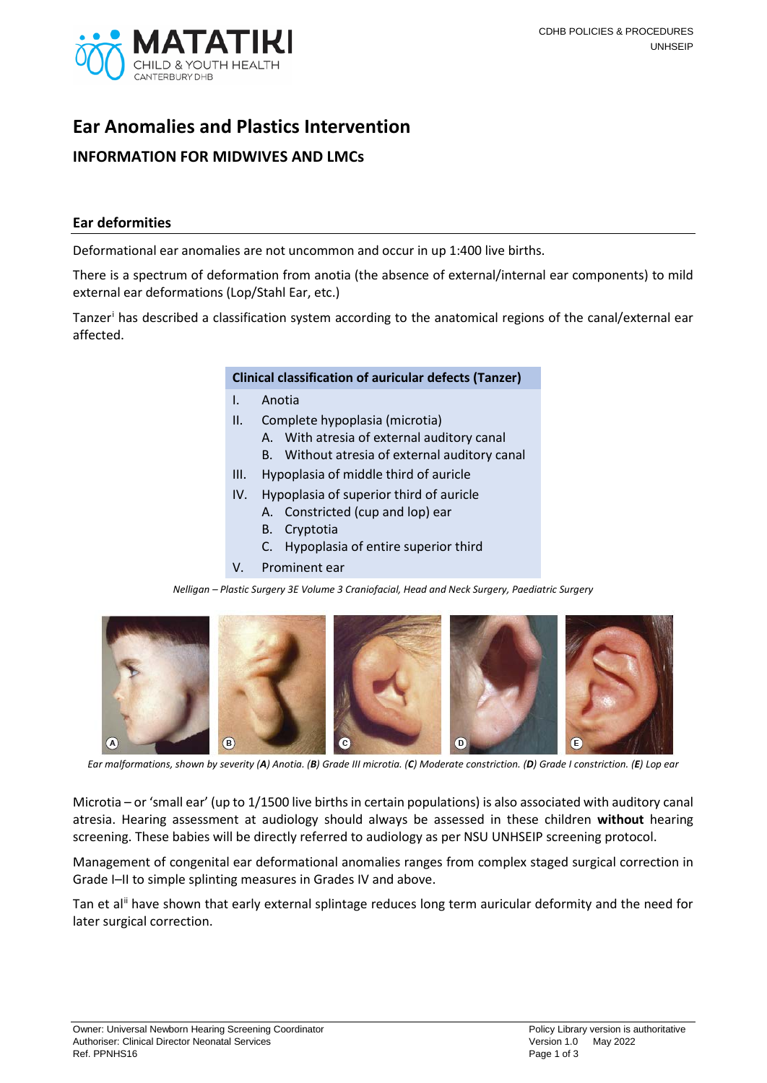

# **Ear Anomalies and Plastics Intervention INFORMATION FOR MIDWIVES AND LMCs**

#### **Ear deformities**

Deformational ear anomalies are not uncommon and occur in up 1:400 live births.

There is a spectrum of deformation from anotia (the absence of external/internal ear components) to mild external ear deformations (Lop/Stahl Ear, etc.)

Tanzer[i](#page-1-0) has described a classification system according to the anatomical regions of the canal/external ear affected.

#### **Clinical classification of auricular defects (Tanzer)**

- I. Anotia
- II. Complete hypoplasia (microtia)
	- A. With atresia of external auditory canal
	- B. Without atresia of external auditory canal
- III. Hypoplasia of middle third of auricle
- IV. Hypoplasia of superior third of auricle
	- A. Constricted (cup and lop) ear
	- B. Cryptotia
	- C. Hypoplasia of entire superior third
- V. Prominent ear

*Nelligan – Plastic Surgery 3E Volume 3 Craniofacial, Head and Neck Surgery, Paediatric Surgery*



Ear malformations, shown by severity (A) Anotia. (B) Grade III microtia. (C) Moderate constriction. (D) Grade I constriction. (E) Lop ear

Microtia – or 'small ear' (up to 1/1500 live births in certain populations) is also associated with auditory canal atresia. Hearing assessment at audiology should always be assessed in these children **without** hearing screening. These babies will be directly referred to audiology as per NSU UNHSEIP screening protocol.

Management of congenital ear deformational anomalies ranges from complex staged surgical correction in Grade I–II to simple splinting measures in Grades IV and above.

Tan et al<sup>[ii](#page-1-1)</sup> have shown that early external splintage reduces long term auricular deformity and the need for later surgical correction.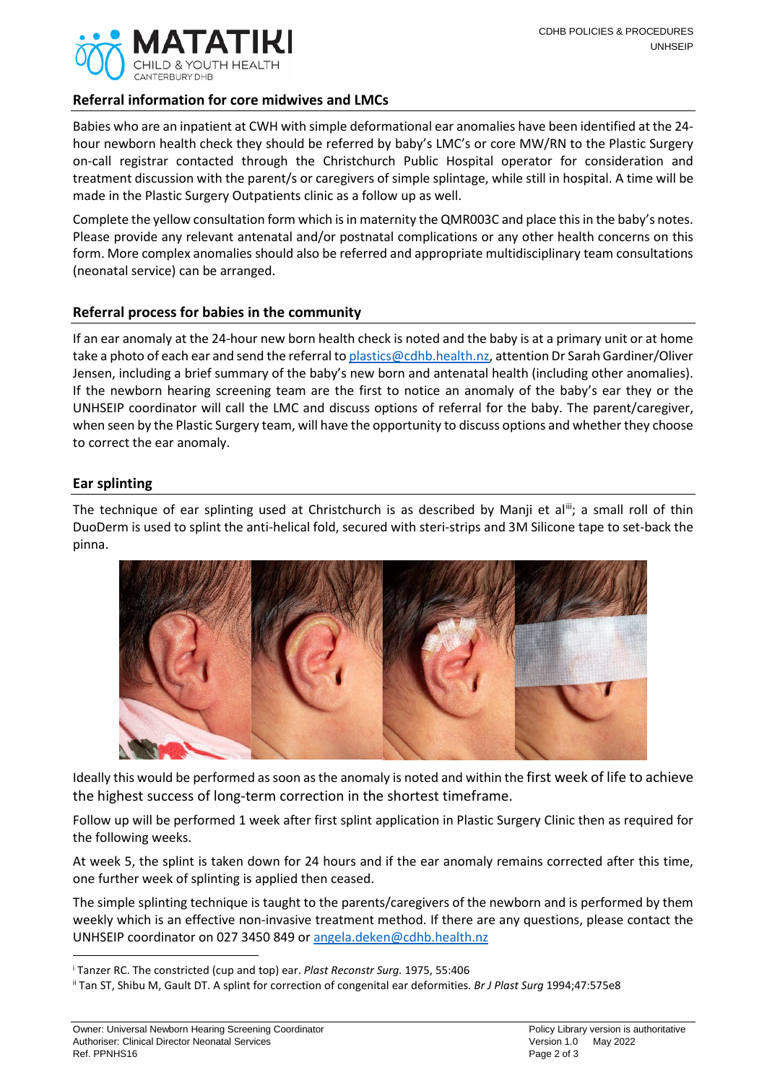

## **Referral information for core midwives and LMCs**

Babies who are an inpatient at CWH with simple deformational ear anomalies have been identified at the 24 hour newborn health check they should be referred by baby's LMC's or core MW/RN to the Plastic Surgery on-call registrar contacted through the Christchurch Public Hospital operator for consideration and treatment discussion with the parent/s or caregivers of simple splintage, while still in hospital. A time will be made in the Plastic Surgery Outpatients clinic as a follow up as well.

Complete the yellow consultation form which is in maternity the QMR003C and place this in the baby's notes. Please provide any relevant antenatal and/or postnatal complications or any other health concerns on this form. More complex anomalies should also be referred and appropriate multidisciplinary team consultations (neonatal service) can be arranged.

## **Referral process for babies in the community**

If an ear anomaly at the 24-hour new born health check is noted and the baby is at a primary unit or at home take a photo of each ear and send the referral t[o plastics@cdhb.health.nz,](mailto:plastics@cdhb.health.nz) attention Dr Sarah Gardiner/Oliver Jensen, including a brief summary of the baby's new born and antenatal health (including other anomalies). If the newborn hearing screening team are the first to notice an anomaly of the baby's ear they or the UNHSEIP coordinator will call the LMC and discuss options of referral for the baby. The parent/caregiver, when seen by the Plastic Surgery team, will have the opportunity to discuss options and whether they choose to correct the ear anomaly.

#### **Ear splinting**

**.** 

The technique of ear splinting used at Christchurch is as described by Manji et al<sup>[iii](#page-1-2)</sup>; a small roll of thin DuoDerm is used to splint the anti-helical fold, secured with steri-strips and 3M Silicone tape to set-back the pinna.



Ideally this would be performed as soon as the anomaly is noted and within the first week of life to achieve the highest success of long-term correction in the shortest timeframe.

Follow up will be performed 1 week after first splint application in Plastic Surgery Clinic then as required for the following weeks.

At week 5, the splint is taken down for 24 hours and if the ear anomaly remains corrected after this time, one further week of splinting is applied then ceased.

The simple splinting technique is taught to the parents/caregivers of the newborn and is performed by them weekly which is an effective non-invasive treatment method. If there are any questions, please contact the UNHSEIP coordinator on 027 3450 849 o[r angela.deken@cdhb.health.nz](mailto:angela.deken@cdhb.health.nz)

<span id="page-1-1"></span><span id="page-1-0"></span><sup>i</sup> Tanzer RC. The constricted (cup and top) ear. *Plast Reconstr Surg.* 1975, 55:406

<span id="page-1-2"></span>ii Tan ST, Shibu M, Gault DT. A splint for correction of congenital ear deformities. *Br J Plast Surg* 1994;47:575e8